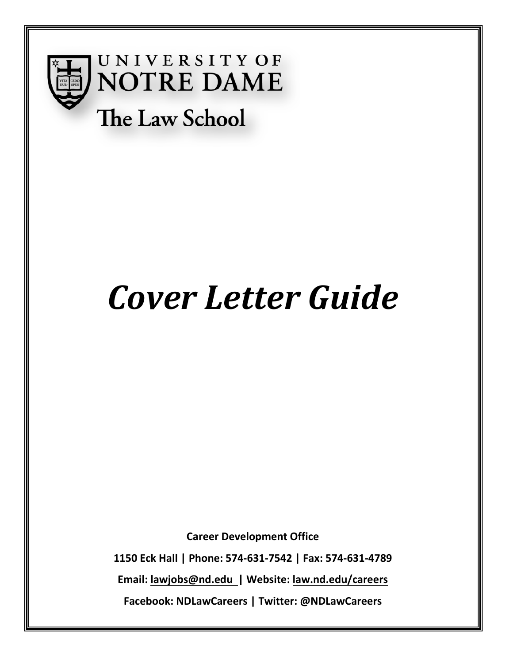

**UNIVERSITY OF NOTRE DAME** The Law School

# *Cover Letter Guide*

**Career Development Office**

**1150 Eck Hall | Phone: 574-631-7542 | Fax: 574-631-4789** 

**Email: [lawjobs@nd.edu](mailto:lawjobs@nd.edu) | Website: law.nd.edu/careers**

**Facebook: NDLawCareers | Twitter: @NDLawCareers**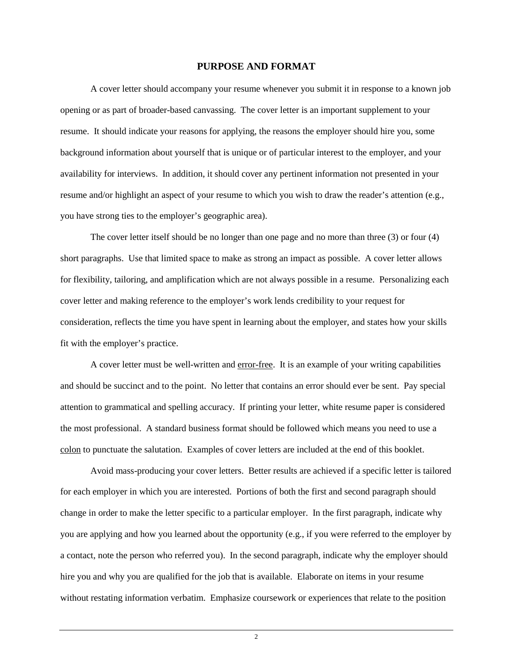#### **PURPOSE AND FORMAT**

A cover letter should accompany your resume whenever you submit it in response to a known job opening or as part of broader-based canvassing. The cover letter is an important supplement to your resume. It should indicate your reasons for applying, the reasons the employer should hire you, some background information about yourself that is unique or of particular interest to the employer, and your availability for interviews. In addition, it should cover any pertinent information not presented in your resume and/or highlight an aspect of your resume to which you wish to draw the reader's attention (e.g., you have strong ties to the employer's geographic area).

The cover letter itself should be no longer than one page and no more than three (3) or four (4) short paragraphs. Use that limited space to make as strong an impact as possible. A cover letter allows for flexibility, tailoring, and amplification which are not always possible in a resume. Personalizing each cover letter and making reference to the employer's work lends credibility to your request for consideration, reflects the time you have spent in learning about the employer, and states how your skills fit with the employer's practice.

A cover letter must be well-written and error-free. It is an example of your writing capabilities and should be succinct and to the point. No letter that contains an error should ever be sent. Pay special attention to grammatical and spelling accuracy. If printing your letter, white resume paper is considered the most professional. A standard business format should be followed which means you need to use a colon to punctuate the salutation. Examples of cover letters are included at the end of this booklet.

Avoid mass-producing your cover letters. Better results are achieved if a specific letter is tailored for each employer in which you are interested. Portions of both the first and second paragraph should change in order to make the letter specific to a particular employer. In the first paragraph, indicate why you are applying and how you learned about the opportunity (e.g., if you were referred to the employer by a contact, note the person who referred you). In the second paragraph, indicate why the employer should hire you and why you are qualified for the job that is available. Elaborate on items in your resume without restating information verbatim. Emphasize coursework or experiences that relate to the position

 $\mathfrak{Z}$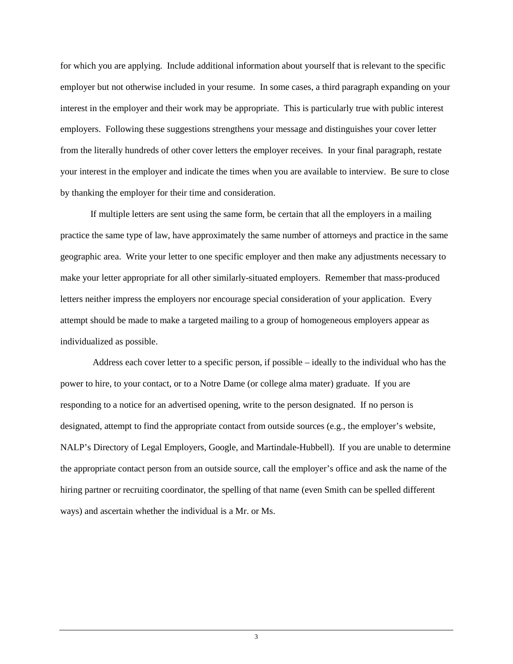for which you are applying. Include additional information about yourself that is relevant to the specific employer but not otherwise included in your resume. In some cases, a third paragraph expanding on your interest in the employer and their work may be appropriate. This is particularly true with public interest employers. Following these suggestions strengthens your message and distinguishes your cover letter from the literally hundreds of other cover letters the employer receives. In your final paragraph, restate your interest in the employer and indicate the times when you are available to interview. Be sure to close by thanking the employer for their time and consideration.

If multiple letters are sent using the same form, be certain that all the employers in a mailing practice the same type of law, have approximately the same number of attorneys and practice in the same geographic area. Write your letter to one specific employer and then make any adjustments necessary to make your letter appropriate for all other similarly-situated employers. Remember that mass-produced letters neither impress the employers nor encourage special consideration of your application. Every attempt should be made to make a targeted mailing to a group of homogeneous employers appear as individualized as possible.

Address each cover letter to a specific person, if possible – ideally to the individual who has the power to hire, to your contact, or to a Notre Dame (or college alma mater) graduate. If you are responding to a notice for an advertised opening, write to the person designated. If no person is designated, attempt to find the appropriate contact from outside sources (e.g., the employer's website, NALP's Directory of Legal Employers, Google, and Martindale-Hubbell). If you are unable to determine the appropriate contact person from an outside source, call the employer's office and ask the name of the hiring partner or recruiting coordinator, the spelling of that name (even Smith can be spelled different ways) and ascertain whether the individual is a Mr. or Ms.

3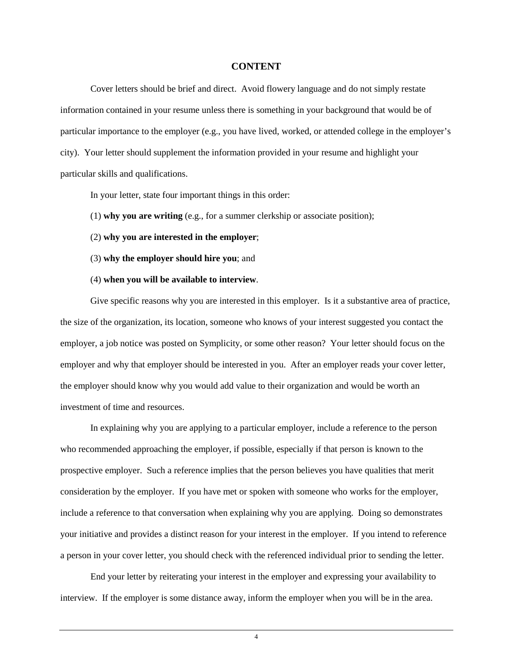#### **CONTENT**

Cover letters should be brief and direct. Avoid flowery language and do not simply restate information contained in your resume unless there is something in your background that would be of particular importance to the employer (e.g., you have lived, worked, or attended college in the employer's city). Your letter should supplement the information provided in your resume and highlight your particular skills and qualifications.

In your letter, state four important things in this order:

- (1) **why you are writing** (e.g., for a summer clerkship or associate position);
- (2) **why you are interested in the employer**;
- (3) **why the employer should hire you**; and
- (4) **when you will be available to interview**.

Give specific reasons why you are interested in this employer. Is it a substantive area of practice, the size of the organization, its location, someone who knows of your interest suggested you contact the employer, a job notice was posted on Symplicity, or some other reason? Your letter should focus on the employer and why that employer should be interested in you. After an employer reads your cover letter, the employer should know why you would add value to their organization and would be worth an investment of time and resources.

In explaining why you are applying to a particular employer, include a reference to the person who recommended approaching the employer, if possible, especially if that person is known to the prospective employer. Such a reference implies that the person believes you have qualities that merit consideration by the employer. If you have met or spoken with someone who works for the employer, include a reference to that conversation when explaining why you are applying. Doing so demonstrates your initiative and provides a distinct reason for your interest in the employer. If you intend to reference a person in your cover letter, you should check with the referenced individual prior to sending the letter.

End your letter by reiterating your interest in the employer and expressing your availability to interview. If the employer is some distance away, inform the employer when you will be in the area.

4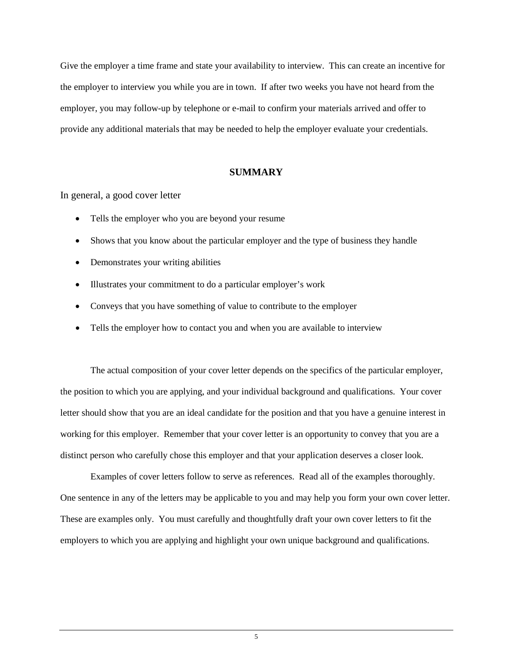Give the employer a time frame and state your availability to interview. This can create an incentive for the employer to interview you while you are in town. If after two weeks you have not heard from the employer, you may follow-up by telephone or e-mail to confirm your materials arrived and offer to provide any additional materials that may be needed to help the employer evaluate your credentials.

#### **SUMMARY**

In general, a good cover letter

- Tells the employer who you are beyond your resume
- Shows that you know about the particular employer and the type of business they handle
- Demonstrates your writing abilities
- Illustrates your commitment to do a particular employer's work
- Conveys that you have something of value to contribute to the employer
- Tells the employer how to contact you and when you are available to interview

The actual composition of your cover letter depends on the specifics of the particular employer, the position to which you are applying, and your individual background and qualifications. Your cover letter should show that you are an ideal candidate for the position and that you have a genuine interest in working for this employer. Remember that your cover letter is an opportunity to convey that you are a distinct person who carefully chose this employer and that your application deserves a closer look.

Examples of cover letters follow to serve as references. Read all of the examples thoroughly. One sentence in any of the letters may be applicable to you and may help you form your own cover letter. These are examples only. You must carefully and thoughtfully draft your own cover letters to fit the employers to which you are applying and highlight your own unique background and qualifications.

5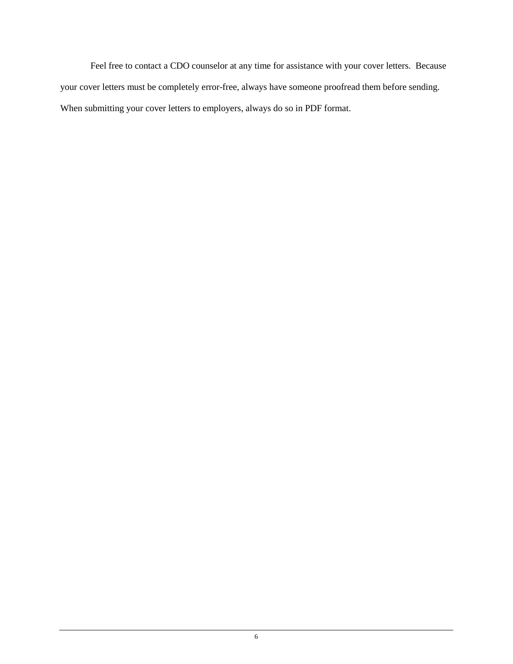Feel free to contact a CDO counselor at any time for assistance with your cover letters. Because your cover letters must be completely error-free, always have someone proofread them before sending. When submitting your cover letters to employers, always do so in PDF format.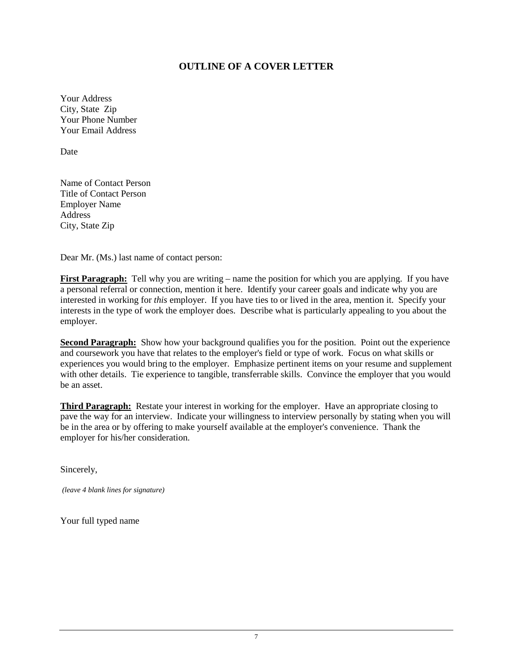## **OUTLINE OF A COVER LETTER**

Your Address City, State Zip Your Phone Number Your Email Address

Date

Name of Contact Person Title of Contact Person Employer Name Address City, State Zip

Dear Mr. (Ms.) last name of contact person:

**First Paragraph:** Tell why you are writing – name the position for which you are applying. If you have a personal referral or connection, mention it here. Identify your career goals and indicate why you are interested in working for *this* employer. If you have ties to or lived in the area, mention it. Specify your interests in the type of work the employer does. Describe what is particularly appealing to you about the employer.

**Second Paragraph:** Show how your background qualifies you for the position. Point out the experience and coursework you have that relates to the employer's field or type of work. Focus on what skills or experiences you would bring to the employer. Emphasize pertinent items on your resume and supplement with other details. Tie experience to tangible, transferrable skills. Convince the employer that you would be an asset.

**Third Paragraph:** Restate your interest in working for the employer. Have an appropriate closing to pave the way for an interview. Indicate your willingness to interview personally by stating when you will be in the area or by offering to make yourself available at the employer's convenience. Thank the employer for his/her consideration.

Sincerely,

*(leave 4 blank lines for signature)*

Your full typed name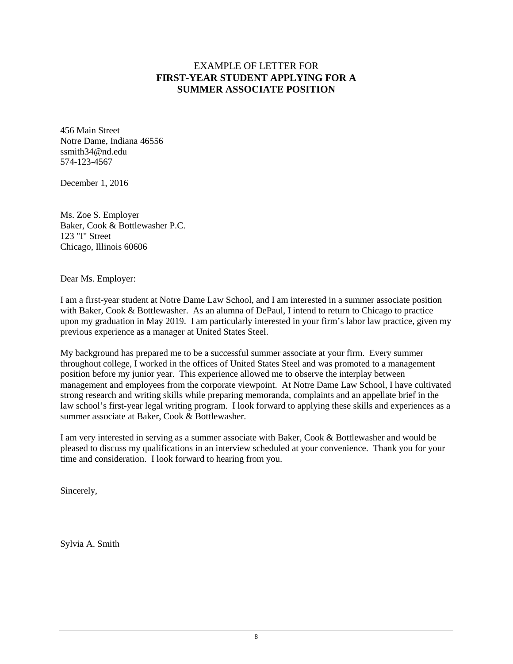# EXAMPLE OF LETTER FOR **FIRST-YEAR STUDENT APPLYING FOR A SUMMER ASSOCIATE POSITION**

456 Main Street Notre Dame, Indiana 46556 ssmith34@nd.edu 574-123-4567

December 1, 2016

Ms. Zoe S. Employer Baker, Cook & Bottlewasher P.C. 123 "I" Street Chicago, Illinois 60606

Dear Ms. Employer:

I am a first-year student at Notre Dame Law School, and I am interested in a summer associate position with Baker, Cook & Bottlewasher. As an alumna of DePaul, I intend to return to Chicago to practice upon my graduation in May 2019. I am particularly interested in your firm's labor law practice, given my previous experience as a manager at United States Steel.

My background has prepared me to be a successful summer associate at your firm. Every summer throughout college, I worked in the offices of United States Steel and was promoted to a management position before my junior year. This experience allowed me to observe the interplay between management and employees from the corporate viewpoint. At Notre Dame Law School, I have cultivated strong research and writing skills while preparing memoranda, complaints and an appellate brief in the law school's first-year legal writing program. I look forward to applying these skills and experiences as a summer associate at Baker, Cook & Bottlewasher.

I am very interested in serving as a summer associate with Baker, Cook & Bottlewasher and would be pleased to discuss my qualifications in an interview scheduled at your convenience. Thank you for your time and consideration. I look forward to hearing from you.

Sincerely,

Sylvia A. Smith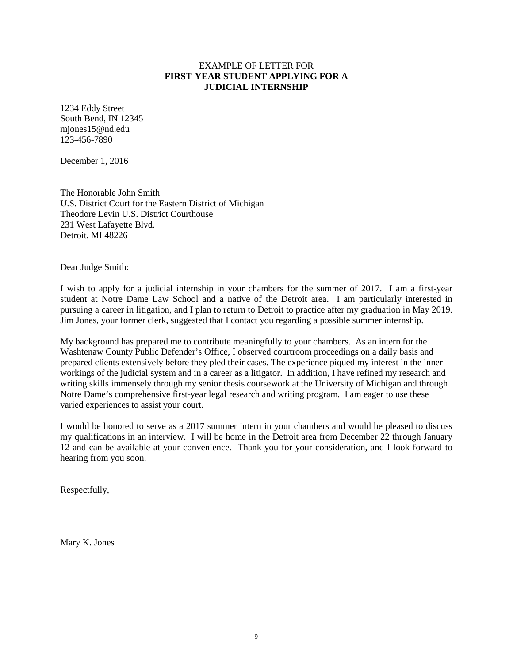#### EXAMPLE OF LETTER FOR **FIRST-YEAR STUDENT APPLYING FOR A JUDICIAL INTERNSHIP**

1234 Eddy Street South Bend, IN 12345 mjones15@nd.edu 123-456-7890

December 1, 2016

The Honorable John Smith U.S. District Court for the Eastern District of Michigan Theodore Levin U.S. District Courthouse 231 West Lafayette Blvd. Detroit, MI 48226

Dear Judge Smith:

I wish to apply for a judicial internship in your chambers for the summer of 2017. I am a first-year student at Notre Dame Law School and a native of the Detroit area. I am particularly interested in pursuing a career in litigation, and I plan to return to Detroit to practice after my graduation in May 2019. Jim Jones, your former clerk, suggested that I contact you regarding a possible summer internship.

My background has prepared me to contribute meaningfully to your chambers. As an intern for the Washtenaw County Public Defender's Office, I observed courtroom proceedings on a daily basis and prepared clients extensively before they pled their cases. The experience piqued my interest in the inner workings of the judicial system and in a career as a litigator. In addition, I have refined my research and writing skills immensely through my senior thesis coursework at the University of Michigan and through Notre Dame's comprehensive first-year legal research and writing program. I am eager to use these varied experiences to assist your court.

I would be honored to serve as a 2017 summer intern in your chambers and would be pleased to discuss my qualifications in an interview. I will be home in the Detroit area from December 22 through January 12 and can be available at your convenience. Thank you for your consideration, and I look forward to hearing from you soon.

Respectfully,

Mary K. Jones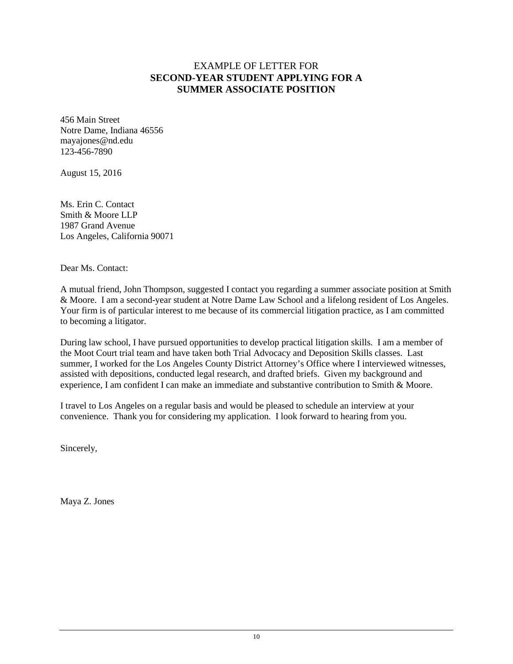# EXAMPLE OF LETTER FOR **SECOND-YEAR STUDENT APPLYING FOR A SUMMER ASSOCIATE POSITION**

456 Main Street Notre Dame, Indiana 46556 mayajones@nd.edu 123-456-7890

August 15, 2016

Ms. Erin C. Contact Smith & Moore LLP 1987 Grand Avenue Los Angeles, California 90071

Dear Ms. Contact:

A mutual friend, John Thompson, suggested I contact you regarding a summer associate position at Smith & Moore. I am a second-year student at Notre Dame Law School and a lifelong resident of Los Angeles. Your firm is of particular interest to me because of its commercial litigation practice, as I am committed to becoming a litigator.

During law school, I have pursued opportunities to develop practical litigation skills. I am a member of the Moot Court trial team and have taken both Trial Advocacy and Deposition Skills classes. Last summer, I worked for the Los Angeles County District Attorney's Office where I interviewed witnesses, assisted with depositions, conducted legal research, and drafted briefs. Given my background and experience, I am confident I can make an immediate and substantive contribution to Smith & Moore.

I travel to Los Angeles on a regular basis and would be pleased to schedule an interview at your convenience. Thank you for considering my application. I look forward to hearing from you.

Sincerely,

Maya Z. Jones